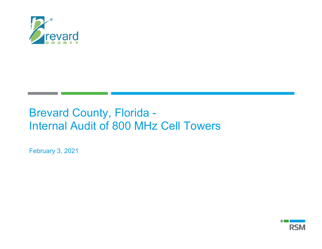

# Brevard County, Florida - Internal Audit of 800 MHz Cell Towers

February 3, 2021

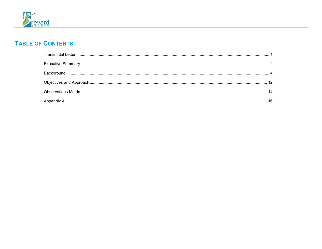

# **TABLE OF CONTENTS**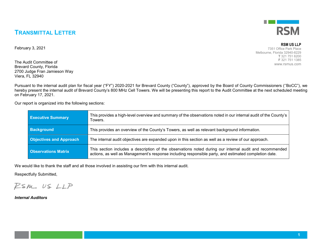### **TRANSMITTAL LETTER**

February 3, 2021

The Audit Committee of Brevard County, Florida 2700 Judge Fran Jamieson Way Viera, FL 32940

Pursuant to the internal audit plan for fiscal year ("FY") 2020-2021 for Brevard County ("County"), approved by the Board of County Commissioners (''BoCC"), we hereby present the internal audit of Brevard County's 800 MHz Cell Towers. We will be presenting this report to the Audit Committee at the next scheduled meeting on February 17, 2021.

Our report is organized into the following sections:

| <b>Executive Summary</b>       | This provides a high-level overview and summary of the observations noted in our internal audit of the County's<br>Towers.                                                                                       |
|--------------------------------|------------------------------------------------------------------------------------------------------------------------------------------------------------------------------------------------------------------|
| <b>Background</b>              | This provides an overview of the County's Towers, as well as relevant background information.                                                                                                                    |
| <b>Objectives and Approach</b> | The internal audit objectives are expanded upon in this section as well as a review of our approach.                                                                                                             |
| <b>Observations Matrix</b>     | This section includes a description of the observations noted during our internal audit and recommended<br>actions, as well as Management's response including responsible party, and estimated completion date. |

We would like to thank the staff and all those involved in assisting our firm with this internal audit.

Respectfully Submitted,

RSM US LLP

*Internal Auditors*



#### **RSM US LLP**

7351 Office Park Place Melbourne, Florida 32940-8229 **T** 321 751 6200 **F** 321 751 1385 www.rsmus.com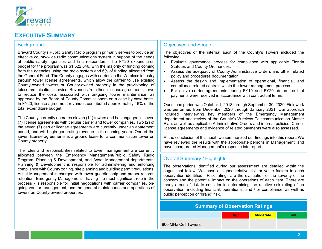

### **EXECUTIVE SUMMARY**

#### **Background**

Brevard County's Public Safety Radio program primarily serves to provide an effective county-wide radio communications system in support of the needs of public safety agencies and first responders. The FY20 expenditures budget for the program was \$1,522,646, with the majority of funding coming from the agencies using the radio system and 6% of funding allocated from the General Fund. The County engages with carriers in the Wireless industry through tower license agreements, which allow the carrier to use existing County-owned towers or County-owned property in the provisioning of telecommunications service. Revenues from these license agreements serve to reduce the costs associated with on-going tower maintenance, as approved by the Board of County Commissioners on a case-by-case basis. In FY20, license agreement revenues contributed approximately 16% of the total expenditure budget.

The County currently operates eleven (11) towers and has engaged in seven (7) license agreements with cellular carrier and tower companies. Two (2) of the seven (7) carrier license agreements are currently under an abatement period, and will begin generating revenue in the coming years. One of the seven license agreements is a ground lease for a communication tower on County property.

The roles and responsibilities related to tower management are currently allocated between the Emergency Management/Public Safety Radio Program, Planning & Development, and Asset Management departments. Planning & Development is responsible for administering and enforcing compliance with County zoning, site planning and building permit regulations. Asset Management is charged with tower guardianship and proper records retention. Emergency Management - having the most significant role in the process - is responsible for initial negotiations with carrier companies, ongoing vendor management, and the general maintenance and operations of towers on County-owned properties.

#### Objectives and Scope

The objectives of the internal audit of the County's Towers included the following:

- Evaluate governance process for compliance with applicable Florida Statutes and County Ordinances.
- Assess the adequacy of County Administrative Orders and other related policy and procedures documentation.
- Assess the design and implementation of operational, financial, and compliance related controls within the tower management process.
- For active carrier agreements during FY19 and FY20, determine that payments were received in accordance with contractual terms.

Our scope period was October 1, 2018 through September 30, 2020. Fieldwork was performed from December 2020 through January 2021. Our approach included interviewing key members of the Emergency Management department and review of the County's Wireless Telecommunication Master Plan, as well as applicable Administrative Orders and internal policies. Carrier license agreements and evidence of related payments were also assessed.

At the conclusion of this audit, we summarized our findings into this report. We have reviewed the results with the appropriate persons in Management, and have incorporated Management's response into report.

#### Overall Summary / Highlights

The observations identified during our assessment are detailed within the pages that follow. We have assigned relative risk or value factors to each observation identified. Risk ratings are the evaluation of the severity of the concern and the potential impact on the operations of each item. There are many areas of risk to consider in determining the relative risk rating of an observation, including financial, operational, and / or compliance, as well as public perception or 'brand' risk.

### **Summary of Observation Ratings High Moderate Low**

| 800 MHz Cell Towers |  |  |
|---------------------|--|--|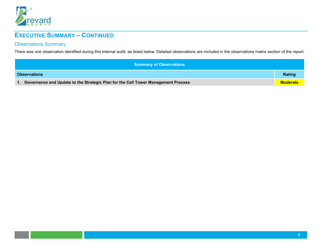

# **EXECUTIVE SUMMARY – CONTINUED**

### Observations Summary

There was one observation identified during this internal audit, as listed below. Detailed observations are included in the observations matrix section of the report.

| Summary of Observations                                                                              |        |
|------------------------------------------------------------------------------------------------------|--------|
| <b>Observations</b>                                                                                  | Rating |
| Governance and Update to the Strategic Plan for the Cell Tower Management Process<br><b>Moderate</b> |        |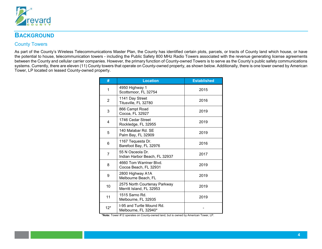

### **BACKGROUND**

### County Towers

As part of the County's Wireless Telecommunications Master Plan, the County has identified certain plots, parcels, or tracts of County land which house, or have the potential to house, telecommunication towers - including the Public Safety 800 MHz Radio Towers associated with the revenue generating license agreements between the County and cellular carrier companies. However, the primary function of County-owned Towers is to serve as the County's public safety communications systems. Currently, there are eleven (11) County towers that operate on County-owned property, as shown below. Additionally, there is one tower owned by American Tower, LP located on leased County-owned property.

| #     | <b>Location</b>                                          | <b>Established</b> |
|-------|----------------------------------------------------------|--------------------|
| 1     | 4950 Highway 1<br>Scottsmoor, FL 32754                   | 2015               |
| 2     | 1141 Day Street<br>Titusville, FL 32780                  | 2016               |
| 3     | 866 Campt Road<br>Cocoa, FL 32927                        | 2019               |
| 4     | 1746 Cedar Street<br>Rockledge, FL 32955                 | 2019               |
| 5     | 140 Malabar Rd. SE<br>Palm Bay, FL 32909                 | 2019               |
| 6     | 1167 Tequesta Dr.<br>Barefoot Bay, FL 32976              | 2016               |
| 7     | 55 N Osceola Dr.<br>Indian Harbor Beach, FL 32937        | 2017               |
| 8     | 4660 Tom Warriner Blvd.<br>Cocoa Beach, FL 32931         | 2019               |
| 9     | 2800 Highway A1A<br>Melbourne Beach, FL                  | 2019               |
| 10    | 2575 North Courtenay Parkway<br>Merritt Island, FL 32953 | 2019               |
| 11    | 1515 Sarno Rd.<br>Melbourne, FL 32935                    | 2019               |
| $12*$ | I-95 and Turtle Mound Rd.<br>Melbourne, FL 32940*        |                    |

**\*Note:** Tower #12 operates on County-owned land, but is owned by American Tower, LP.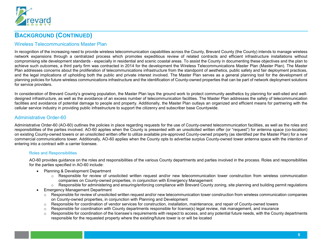

#### Wireless Telecommunications Master Plan

In recognition of the increasing need to provide wireless telecommunication capabilities across the County, Brevard County (the County) intends to manage wireless network expansions through a centralized process which promotes expeditious review of related contracts and efficient infrastructure installations without compromising site development standards - especially in residential and scenic coastal areas. To assist the County in documenting these objectives and the plan to achieve such outcomes, a third party firm was contracted in 2014 for the development the Wireless Telecommunications Master Plan (Master Plan). The Master Plan addresses concerns about the proliferation of telecommunications infrastructure from the standpoint of aesthetics, public safety and fair deployment practices, and the legal implications of upholding both the public and private interest involved. The Master Plan serves as a general planning tool for the development of planning policies for future wireless communications infrastructure and the identification of County-owned properties that can be part of network deployment solutions for service providers.

In consideration of Brevard County's growing population, the Master Plan lays the ground work to protect community aesthetics by planning for well-sited and welldesigned infrastructure, as well as the avoidance of an excess number of telecommunication facilities. The Master Plan addresses the safety of telecommunication facilities and avoidance of potential damage to people and property. Additionally, the Master Plan outlays an organized and efficient means for partnering with the cellular service industry in providing public infrastructure to support the citizenry and subscriber base Countywide.

#### Administrative Order-60

Administrative Order-60 (AO-60) outlines the policies in place regarding requests for the use of County-owned telecommunication facilities, as well as the roles and responsibilities of the parties involved. AO-60 applies when the County is presented with an unsolicited written offer (or "request") for antenna space (co-location) on existing County-owned towers or an unsolicited written offer to utilize available pre-approved County-owned property (as identified per the Master Plan) for a new commercial communications tower. Additionally, AO-60 applies when the County opts to advertise surplus County-owned tower antenna space with the intention of entering into a contract with a carrier licensee.

#### Roles and Responsibilities

AO-60 provides guidance on the roles and responsibilities of the various County departments and parties involved in the process. Roles and responsibilities for the parties specified in AO-60 include:

- Planning & Development Department
	- $\circ$  Responsible for review of unsolicited written request and/or new telecommunication tower construction from wireless communication companies on County-owned properties, in conjunction with Emergency Management
	- $\circ$  Responsible for administering and ensuring/enforcing compliance with Brevard County zoning, site planning and building permit regulations
- Emergency Management Department
	- Responsible for review of unsolicited written request and/or new telecommunication tower construction from wireless communication companies on County-owned properties, in conjunction with Planning and Development
	- o Responsible for coordination of vendor services for construction, installation, maintenance, and repair of County-owned towers
	- $\circ$  Responsible for coordination with County departments responsible for license(s) legal review, risk management, and insurance
	- $\circ$  Responsible for coordination of the licensee's requirements with respect to access, and any potential future needs, with the County departments responsible for the requested property where the existing/future tower is or will be located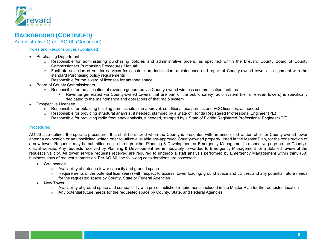

Administrative Order AO-60 (Continued)

#### Roles and Responsibilities (Continued)

- Purchasing Department
	- o Responsible for administering purchasing policies and administrative orders, as specified within the Brevard County Board of County Commissioners Purchasing Procedures Manual
	- o Facilitate selection of vendor services for construction, installation, maintenance and repair of County-owned towers in alignment with the standard Purchasing policy requirements
	- o Responsible for the award of licenses for antenna space
- Board of County Commissioners
	- $\circ$  Responsible for the allocation of revenue generated via County-owned wireless communication facilities
		- Revenue generated via County-owned towers that are part of the public safety radio system (i.e. all eleven towers) is specifically dedicated to the maintenance and operations of that radio system
- Prospective Licensee
	- o Responsible for obtaining building permits, site plan approval, conditional use permits and FCC licenses, as needed
	- o Responsible for providing structural analysis, if needed, stamped by a State of Florida Registered Professional Engineer (PE)
	- $\circ$  Responsible for providing radio frequency analysis, if needed, stamped by a State of Florida Registered Professional Engineer (PE)

#### **Procedures**

AO-60 also defines the specific procedures that shall be utilized when the County is presented with an unsolicited written offer for County-owned tower antenna co-location or an unsolicited written offer to utilize available pre-approved County-owned property, listed in the Master Plan, for the construction of a new tower. Requests may be submitted online through either Planning & Development or Emergency Management's respective page on the County's official website. Any requests received by Planning & Development are immediately forwarded to Emergency Management for a detailed review of the request's validity. All tower service requests received are required to undergo a staff analysis performed by Emergency Management within thirty (30) business days of request submission. Per AO-60, the following considerations are assessed:

- Co-Location
	- o Availability of antenna tower capacity and ground space
	- $\circ$  Requirements of the potential licensee(s) with respect to access, tower loading, ground space and utilities, and any potential future needs for the requested space by County, State or Federal Agencies
- New Tower
	- $\circ$  Availability of ground space and compatibility with pre-established requirements included in the Master Plan for the requested location
	- o Any potential future needs for the requested space by County, State, and Federal Agencies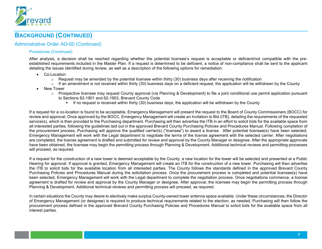

### Administrative Order AO-60 (Continued)

#### Procedures (Continued)

After analysis, a decision shall be reached regarding whether the potential licensee's request is acceptable or deficient/not compatible with the preestablished requirements included in the Master Plan. If a request is determined to be deficient, a notice of non-compliance shall be sent to the applicant detailing the issues identified during review, as well as a description of the following options for remediation:

- Co-Location
	- $\circ$  Request may be amended by the potential licensee within thirty (30) business days after receiving the notification
	- $\circ$  If an amendment is not received within thirty (30) business days on a deficient request, the application will be withdrawn by the County
- New Tower
	- $\circ$  Prospective licensee may request County approval (via Planning & Development) to file a joint conditional use permit application pursuant to Sections 62-1901 and 62-1953, Brevard County Code
		- If no request is received within thirty (30) business days, the application will be withdrawn by the County

If a request for a co-location is found to be acceptable, Emergency Management will present the request to the Board of County Commissioners (BOCC) for review and approval. Once approved by the BOCC, Emergency Management will create an Invitation to Bid (ITB), detailing the requirements of the requested service(s), which is then provided to the Purchasing department. Purchasing will then advertise the ITB in an effort to solicit bids for the available space from all interested parties, following the guidelines laid out in the approved Brevard County Purchasing Policies and Procedures Manual. Following completion of the procurement process, Purchasing will approve the qualified carrier(s) ("licensee") to award a license. After potential licensee(s) have been selected, Emergency Management will work with the Legal department to negotiate the terms of the license agreement with the selected carrier. After negotiations are completed, the license agreement is drafted and submitted for review and approval by the County Manager or designee. After the appropriate approvals have been obtained, the licensee may begin the permitting process through Planning & Development. Additional technical reviews and permitting processes will proceed, as required.

If a request for the construction of a new tower is deemed acceptable by the County, a new location for the tower will be selected and presented at a Public Hearing for approval. If approval is granted, Emergency Management will create an ITB for the construction of a new tower. Purchasing will then advertise the ITB to solicit bids for the available location from all interested parties. The County follows the standards defined in the approved Brevard County Purchasing Policies and Procedures Manual during the solicitation process. Once the procurement process is completed and potential licensee(s) have been selected, Emergency Management will work with the Legal department to complete the negotiation process. Once negotiations commence, a license agreement is drafted for review and approval by the County Manager or designee. After approval, the licensee may begin the permitting process through Planning & Development. Additional technical reviews and permitting process will proceed, as required.

In certain situations the County may desire to electively make surplus County-owned tower antenna space available. Under these circumstances, the Director of Emergency Management (or designee) is required to produce technical requirements related to the election, as needed. Purchasing will then follow the procurement process defined in the approved Brevard County Purchasing Policies and Procedures Manual to solicit bids for the available space from all interest parties.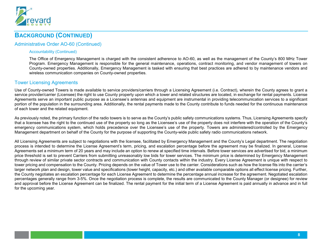

### Administrative Order AO-60 (Continued)

#### Accountability (Continued)

The Office of Emergency Management is charged with the consistent adherence to AO-60, as well as the management of the County's 800 MHz Tower Program. Emergency Management is responsible for the general maintenance, operations, contract monitoring, and vendor management of towers on County-owned properties. Additionally, Emergency Management is tasked with ensuring that best practices are adhered to by maintenance vendors and wireless communication companies on County-owned properties.

#### Tower Licensing Agreements

Use of County-owned Towers is made available to service providers/carriers through a Licensing Agreement (i.e. Contract), wherein the County agrees to grant a service provider/carrier (Licensee) the right to use County property upon which a tower and related structures are located, in exchange for rental payments. License Agreements serve an important public purpose as a Licensee's antennas and equipment are instrumental in providing telecommunication services to a significant portion of the population in the surrounding area. Additionally, the rental payments made to the County contribute to funds needed for the continuous maintenance of each tower and the related equipment.

As previously noted, the primary function of the radio towers is to serve as the County's public safety communications systems. Thus, Licensing Agreements specify that a licensee has the right to the continued use of the property so long as the Licensee's use of the property does not interfere with the operation of the County's emergency communications system, which holds precedence over the Licensee's use of the property. Towers are administered/controlled by the Emergency Management department on behalf of the County for the purpose of supporting the County-wide public safety radio communications network.

All Licensing Agreements are subject to negotiations with the licensee, facilitated by Emergency Management and the County's Legal department. The negotiation process is intended to determine the License Agreement's term, pricing, and escalation percentage before the agreement may be finalized. In general, License Agreements set a minimum term of 20 years and may include an option to renew at specified time intervals. Before tower services are advertised for bid, a minimum price threshold is set to prevent Carriers from submitting unreasonably low bids for tower services. The minimum price is determined by Emergency Management through review of similar private sector contracts and communication with County contacts within the industry. Every License Agreement is unique with respect to tower pricing and compensation to the County. Pricing depends on the value of Tower use to the carrier. Considerations such as how the license fits into the carrier's larger network plan and design, tower value and specifications (tower height, capacity, etc.) and other available comparable options all effect license pricing. Further, the County negotiates an escalation percentage for each License Agreement to determine the percentage annual increase for the agreement. Negotiated escalation percentages generally range from 3-5%. Once the negotiation process is complete, the results are communicated to the County Manager (or designee) for review and approval before the License Agreement can be finalized. The rental payment for the initial term of a License Agreement is paid annually in advance and in full for the upcoming year.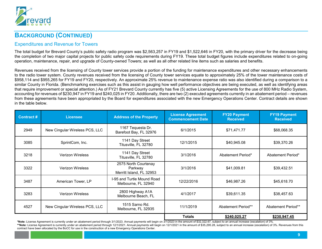

### Expenditures and Revenue for Towers

The total budget for Brevard County's public safety radio program was \$2,563,257 in FY19 and \$1,522,646 in FY20, with the primary driver for the decrease being the completion of two major capital projects for public safety code requirements during FY19. These total budget figures include expenditures related to on-going operation, maintenance, repair, and upgrade of County-owned Towers; as well as all other related line items such as salaries and benefits.

Revenues received from the licensing of County tower services provide a portion of the funding for maintenance expenditures and other necessary enhancements to the radio tower system. County revenues received from the licensing of County tower services equate to approximately 25% of the tower maintenance costs of \$958,114 and \$955,265 for FY19 and FY20, respectively. An approximate 25% revenue to maintenance expense ratio was also identified during a comparison to a similar County in Florida. (Benchmarking exercises such as this assist in gauging how well performance objectives are being executed, as well as identifying areas that require improvement or special attention.) As of FY21 Brevard County currently has five (5) active Licensing Agreements for the use of 800 MHz Radio System, accounting for revenues of \$230,947 in FY19 and \$240,025 in FY20. Additionally, there are two (2) executed agreements currently in an abatement period – revenues from these agreements have been appropriated by the Board for expenditures associated with the new Emergency Operations Center. Contract details are shown in the table below.

| <b>Contract #</b> | <b>Licensee</b>                | <b>Address of the Property</b>                              | <b>License Agreement</b><br><b>Commencement Date</b> | <b>FY20 Payment</b><br><b>Received</b> | <b>FY19 Payment</b><br><b>Received</b> |
|-------------------|--------------------------------|-------------------------------------------------------------|------------------------------------------------------|----------------------------------------|----------------------------------------|
| 2949              | New Cingular Wireless PCS, LLC | 1167 Tequesta Dr.<br>Barefoot Bay, FL 32976                 | 6/1/2015                                             | \$71,471.77                            | \$68,068.35                            |
| 3085              | SprintCom, Inc.                | 1141 Day Street<br>Titusville, FL 32780                     | 12/1/2015                                            | \$40,945.08                            | \$39,370.26                            |
| 3218              | <b>Verizon Wireless</b>        | 1141 Day Street<br>Titusville, FL 32780                     | 3/1/2016                                             | Abatement Period*                      | Abatement Period*                      |
| 3322              | <b>Verizon Wireless</b>        | 2575 North Courtenay<br>Parkway<br>Merritt Island, FL 32953 | 3/1/2016                                             | \$41,009.81                            | \$39,432.51                            |
| 3487              | American Tower, LP             | I-95 and Turtle Mound Road<br>Melbourne, FL 32940           | 12/22/2016                                           | \$46,987.26                            | \$45,618.70                            |
| 3283              | <b>Verizon Wireless</b>        | 2800 Highway A1A<br>Melbourne Beach, FL                     | 4/1/2017                                             | \$39,611.35                            | \$38,457.63                            |
| 4527              | New Cingular Wireless PCS, LLC | 1515 Sarno Rd.<br>Melbourne, FL 32935                       | 11/1/2019                                            | Abatement Period**                     | Abatement Period**                     |
|                   |                                |                                                             | <b>Totals</b>                                        | \$240,025.27                           | \$230,947.45                           |

**\*Note:** License Agreement is currently under an abatement period through 3/1/2023. Annual payments will begin on 3/1/2023 in the amount of \$32,322.67, subject to an annual increase (escalation) of 3%. \*\*Note: License Agreement is currently under an abatement period through 12/1/2021. Annual payments will begin on 12/1/2021 in the amount of \$35,295.28, subject to an annual increase (escalation) of 3%. Revenues from this contract have been allocated by the BoCC for use in the construction of a new Emergency Operations Center.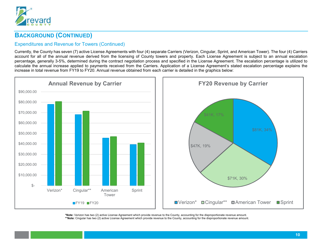

### Expenditures and Revenue for Towers (Continued)

Currently, the County has seven (7) active License Agreements with four (4) separate Carriers (Verizon, Cingular, Sprint, and American Tower). The four (4) Carriers account for all of the annual revenue derived from the licensing of County towers and property. Each License Agreement is subject to an annual escalation percentage, generally 3-5%, determined during the contract negotiation process and specified in the License Agreement. The escalation percentage is utilized to calculate the annual increase applied to payments received from the Carriers. Application of a License Agreement's stated escalation percentage explains the increase in total revenue from FY19 to FY20. Annual revenue obtained from each carrier is detailed in the graphics below:



**\*Note:** Verizon has two (2) active License Agreement which provide revenue to the County, accounting for the disproportionate revenue amount. **\*\*Note:** Cingular has two (2) active License Agreement which provide revenue to the County, accounting for the disproportionate revenue amount.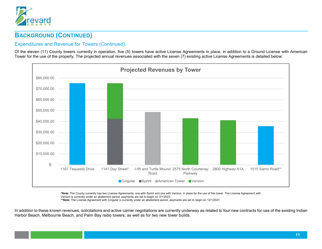

### Expenditures and Revenue for Towers (Continued)

Of the eleven (11) County towers currently in operation, five (5) towers have active License Agreements in place, in addition to a Ground License with American Tower for the use of the property. The projected annual revenues associated with the seven (7) existing active License Agreements is detailed below:



**\*Note:** The County currently has two License Agreements, one with Sprint and one with Verizon, in place for the use of this tower. The License Agreement with Verizon is currently under an abatement period, payments are set to begin on 3/1/2023.

**\*\*Note:** The License Agreement with Cingular is currently under an abatement period, payments are set to begin on 12/1/2021.

In addition to these known revenues, solicitations and active carrier negotiations are currently underway as related to four new contracts for use of the existing Indian Harbor Beach, Melbourne Beach, and Palm Bay radio towers; as well as for two new tower builds.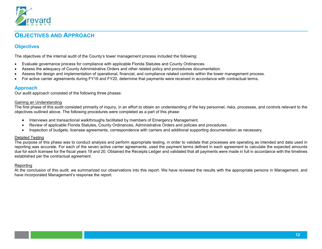

## **OBJECTIVES AND APPROACH**

### **Objectives**

The objectives of the internal audit of the County's tower management process included the following:

- Evaluate governance process for compliance with applicable Florida Statutes and County Ordinances.
- Assess the adequacy of County Administrative Orders and other related policy and procedures documentation.
- Assess the design and implementation of operational, financial, and compliance related controls within the tower management process.
- For active carrier agreements during FY19 and FY20, determine that payments were received in accordance with contractual terms.

#### **Approach**

Our audit approach consisted of the following three phases:

#### Gaining an Understanding

The first phase of this audit consisted primarily of inquiry, in an effort to obtain an understanding of the key personnel, risks, processes, and controls relevant to the objectives outlined above. The following procedures were completed as a part of this phase:

- Interviews and transactional walkthroughs facilitated by members of Emergency Management.
- Review of applicable Florida Statutes, County Ordinances, Administrative Orders and policies and procedures.
- Inspection of budgets, licensee agreements, correspondence with carriers and additional supporting documentation as necessary.

#### Detailed Testing

The purpose of this phase was to conduct analysis and perform appropriate testing, in order to validate that processes are operating as intended and data used in reporting was accurate. For each of the seven active carrier agreements, used the payment terms defined in each agreement to calculate the expected amounts due for each licensee for the fiscal years 19 and 20. Obtained the Receipts Ledger and validated that all payments were made in full in accordance with the timelines established per the contractual agreement.

#### Reporting

At the conclusion of this audit, we summarized our observations into this report. We have reviewed the results with the appropriate persons in Management, and have incorporated Management's response the report.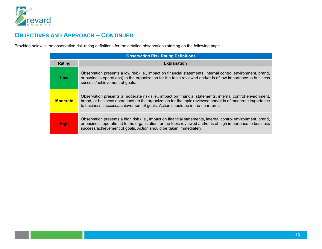

# **OBJECTIVES AND APPROACH – CONTINUED**

Provided below is the observation risk rating definitions for the detailed observations starting on the following page.

| <b>Observation Risk Rating Definitions</b> |                                                                                                                                                                                                                                                                                                         |
|--------------------------------------------|---------------------------------------------------------------------------------------------------------------------------------------------------------------------------------------------------------------------------------------------------------------------------------------------------------|
| Rating                                     | <b>Explanation</b>                                                                                                                                                                                                                                                                                      |
| Low                                        | Observation presents a low risk (i.e., impact on financial statements, internal control environment, brand,<br>or business operations) to the organization for the topic reviewed and/or is of low importance to business<br>success/achievement of goals.                                              |
| <b>Moderate</b>                            | Observation presents a moderate risk (i.e., impact on financial statements, internal control environment,<br>brand, or business operations) to the organization for the topic reviewed and/or is of moderate importance<br>to business success/achievement of goals. Action should be in the near term. |
| <b>High</b>                                | Observation presents a high risk (i.e., impact on financial statements, internal control environment, brand,<br>or business operations) to the organization for the topic reviewed and/or is of high importance to business<br>success/achievement of goals. Action should be taken immediately.        |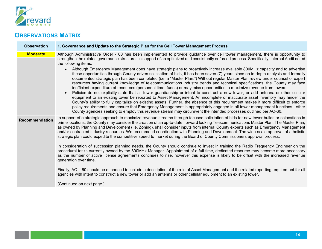

# **OBSERVATIONS MATRIX**

| <b>Observation</b>    | 1. Governance and Update to the Strategic Plan for the Cell Tower Management Process                                                                                                                                                                                                                                                                                                                                                                                                                                                                                                                                                                                                                                                                                                                                                                                                                                                                                                                                                                                                                                                                                                                                                                                                                                                                                                                                                                                                                                |
|-----------------------|---------------------------------------------------------------------------------------------------------------------------------------------------------------------------------------------------------------------------------------------------------------------------------------------------------------------------------------------------------------------------------------------------------------------------------------------------------------------------------------------------------------------------------------------------------------------------------------------------------------------------------------------------------------------------------------------------------------------------------------------------------------------------------------------------------------------------------------------------------------------------------------------------------------------------------------------------------------------------------------------------------------------------------------------------------------------------------------------------------------------------------------------------------------------------------------------------------------------------------------------------------------------------------------------------------------------------------------------------------------------------------------------------------------------------------------------------------------------------------------------------------------------|
| <b>Moderate</b>       | Although Administrative Order - 60 has been implemented to provide guidance over cell tower management, there is opportunity to<br>strengthen the related governance structures in support of an optimized and consistently enforced process. Specifically, Internal Audit noted<br>the following items:<br>Although Emergency Management does have strategic plans to proactively increase available 800MHz capacity and to advertise<br>these opportunities through County-driven solicitation of bids, it has been seven (7) years since an in-depth analysis and formally<br>documented strategic plan has been completed (i.e. a "Master Plan.") Without regular Master Plan review under counsel of expert<br>resources having current knowledge of telecommunications industry trends and technical specifications, the County may face<br>inefficient expenditure of resources (personnel time, funds) or may miss opportunities to maximize revenue from towers.<br>Policies do not explicitly state that all tower guardianship or intent to construct a new tower, or add antenna or other cellular<br>equipment to an existing tower be reported to Asset Management. An incomplete or inaccurate asset inventory may hinder the<br>County's ability to fully capitalize on existing assets. Further, the absence of this requirement makes it more difficult to enforce<br>policy requirements and ensure that Emergency Management is appropriately engaged in all tower management functions - other |
|                       | County agencies seeking to employ this revenue stream may circumvent the intended processes outlined per AO-60.                                                                                                                                                                                                                                                                                                                                                                                                                                                                                                                                                                                                                                                                                                                                                                                                                                                                                                                                                                                                                                                                                                                                                                                                                                                                                                                                                                                                     |
| <b>Recommendation</b> | In support of a strategic approach to maximize revenue streams through focused solicitation of bids for new tower builds or colocations in<br>prime locations, the County may consider the creation of an up-to-date, forward looking Telecommunications Master Plan. The Master Plan,<br>as owned by Planning and Development (i.e. Zoning), shall consider inputs from internal County experts such as Emergency Management<br>and/or contracted industry resources. We recommend coordination with Planning and Development. The wide-scale approval of a holistic<br>strategic plan could expedite the competitive speed to market during the Board of County Commissioners approval process.                                                                                                                                                                                                                                                                                                                                                                                                                                                                                                                                                                                                                                                                                                                                                                                                                   |
|                       | In consideration of succession planning needs, the County should continue to invest in training the Radio Frequency Engineer on the<br>procedural tasks currently owned by the 800MHz Manager. Appointment of a full-time, dedicated resource may become more necessary<br>as the number of active license agreements continues to rise, however this expense is likely to be offset with the increased revenue<br>generation over time.                                                                                                                                                                                                                                                                                                                                                                                                                                                                                                                                                                                                                                                                                                                                                                                                                                                                                                                                                                                                                                                                            |
|                       | Finally, AO - 60 should be enhanced to include a description of the role of Asset Management and the related reporting requirement for all<br>agencies with intent to construct a new tower or add an antenna or other cellular equipment to an existing tower.                                                                                                                                                                                                                                                                                                                                                                                                                                                                                                                                                                                                                                                                                                                                                                                                                                                                                                                                                                                                                                                                                                                                                                                                                                                     |
|                       | (Continued on next page.)                                                                                                                                                                                                                                                                                                                                                                                                                                                                                                                                                                                                                                                                                                                                                                                                                                                                                                                                                                                                                                                                                                                                                                                                                                                                                                                                                                                                                                                                                           |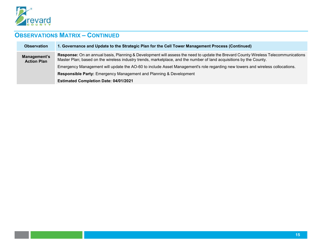

# **OBSERVATIONS MATRIX – CONTINUED**

| <b>Observation</b>                 | 1. Governance and Update to the Strategic Plan for the Cell Tower Management Process (Continued)                                                                                                                                                          |
|------------------------------------|-----------------------------------------------------------------------------------------------------------------------------------------------------------------------------------------------------------------------------------------------------------|
| Management's<br><b>Action Plan</b> | Response: On an annual basis, Planning & Development will assess the need to update the Brevard County Wireless Telecommunications<br>Master Plan; based on the wireless industry trends, marketplace, and the number of land acquisitions by the County. |
|                                    | Emergency Management will update the AO-60 to include Asset Management's role regarding new towers and wireless collocations.                                                                                                                             |
|                                    | Responsible Party: Emergency Management and Planning & Development                                                                                                                                                                                        |
|                                    | <b>Estimated Completion Date: 04/01/2021</b>                                                                                                                                                                                                              |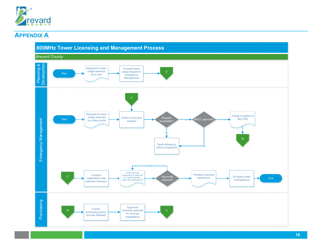

### **APPENDIX A**